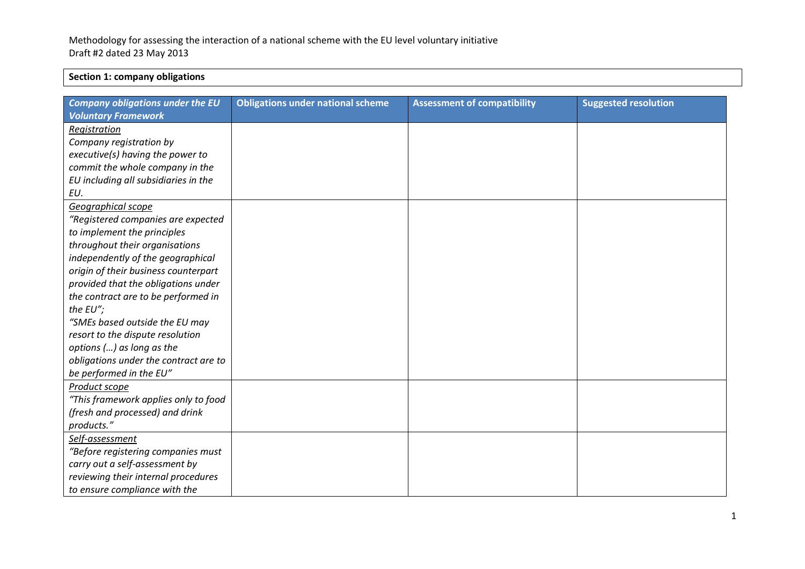## **Section 1: company obligations**

| <b>Company obligations under the EU</b> | <b>Obligations under national scheme</b> | <b>Assessment of compatibility</b> | <b>Suggested resolution</b> |
|-----------------------------------------|------------------------------------------|------------------------------------|-----------------------------|
| <b>Voluntary Framework</b>              |                                          |                                    |                             |
| Registration                            |                                          |                                    |                             |
| Company registration by                 |                                          |                                    |                             |
| executive(s) having the power to        |                                          |                                    |                             |
| commit the whole company in the         |                                          |                                    |                             |
| EU including all subsidiaries in the    |                                          |                                    |                             |
| EU.                                     |                                          |                                    |                             |
| Geographical scope                      |                                          |                                    |                             |
| "Registered companies are expected      |                                          |                                    |                             |
| to implement the principles             |                                          |                                    |                             |
| throughout their organisations          |                                          |                                    |                             |
| independently of the geographical       |                                          |                                    |                             |
| origin of their business counterpart    |                                          |                                    |                             |
| provided that the obligations under     |                                          |                                    |                             |
| the contract are to be performed in     |                                          |                                    |                             |
| the EU";                                |                                          |                                    |                             |
| "SMEs based outside the EU may          |                                          |                                    |                             |
| resort to the dispute resolution        |                                          |                                    |                             |
| options () as long as the               |                                          |                                    |                             |
| obligations under the contract are to   |                                          |                                    |                             |
| be performed in the EU"                 |                                          |                                    |                             |
| Product scope                           |                                          |                                    |                             |
| "This framework applies only to food    |                                          |                                    |                             |
| (fresh and processed) and drink         |                                          |                                    |                             |
| products."                              |                                          |                                    |                             |
| Self-assessment                         |                                          |                                    |                             |
| "Before registering companies must      |                                          |                                    |                             |
| carry out a self-assessment by          |                                          |                                    |                             |
| reviewing their internal procedures     |                                          |                                    |                             |
| to ensure compliance with the           |                                          |                                    |                             |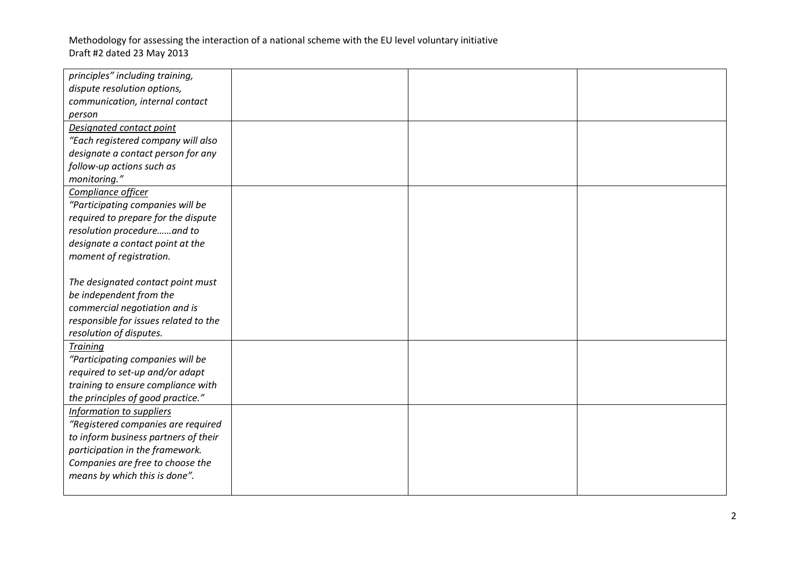| principles" including training,       |  |  |
|---------------------------------------|--|--|
| dispute resolution options,           |  |  |
| communication, internal contact       |  |  |
| person                                |  |  |
| Designated contact point              |  |  |
| "Each registered company will also    |  |  |
| designate a contact person for any    |  |  |
| follow-up actions such as             |  |  |
| monitoring."                          |  |  |
| Compliance officer                    |  |  |
| "Participating companies will be      |  |  |
| required to prepare for the dispute   |  |  |
| resolution procedureand to            |  |  |
| designate a contact point at the      |  |  |
| moment of registration.               |  |  |
|                                       |  |  |
| The designated contact point must     |  |  |
| be independent from the               |  |  |
| commercial negotiation and is         |  |  |
| responsible for issues related to the |  |  |
| resolution of disputes.               |  |  |
| <b>Training</b>                       |  |  |
| "Participating companies will be      |  |  |
| required to set-up and/or adapt       |  |  |
| training to ensure compliance with    |  |  |
| the principles of good practice."     |  |  |
| Information to suppliers              |  |  |
| "Registered companies are required    |  |  |
| to inform business partners of their  |  |  |
| participation in the framework.       |  |  |
| Companies are free to choose the      |  |  |
| means by which this is done".         |  |  |
|                                       |  |  |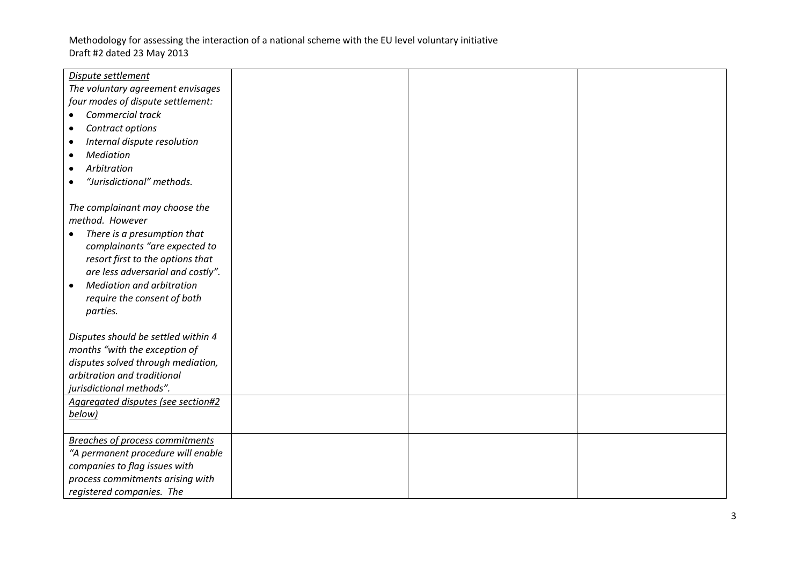| Dispute settlement                            |  |  |
|-----------------------------------------------|--|--|
| The voluntary agreement envisages             |  |  |
| four modes of dispute settlement:             |  |  |
| Commercial track                              |  |  |
| Contract options<br>$\bullet$                 |  |  |
| Internal dispute resolution<br>٠              |  |  |
| Mediation                                     |  |  |
| Arbitration                                   |  |  |
| "Jurisdictional" methods.                     |  |  |
|                                               |  |  |
| The complainant may choose the                |  |  |
| method. However                               |  |  |
| There is a presumption that                   |  |  |
| complainants "are expected to                 |  |  |
| resort first to the options that              |  |  |
| are less adversarial and costly".             |  |  |
| <b>Mediation and arbitration</b><br>$\bullet$ |  |  |
| require the consent of both                   |  |  |
| parties.                                      |  |  |
|                                               |  |  |
| Disputes should be settled within 4           |  |  |
| months "with the exception of                 |  |  |
| disputes solved through mediation,            |  |  |
| arbitration and traditional                   |  |  |
| jurisdictional methods".                      |  |  |
| Aggregated disputes (see section#2            |  |  |
| below)                                        |  |  |
|                                               |  |  |
| <b>Breaches of process commitments</b>        |  |  |
| "A permanent procedure will enable            |  |  |
| companies to flag issues with                 |  |  |
| process commitments arising with              |  |  |
| registered companies. The                     |  |  |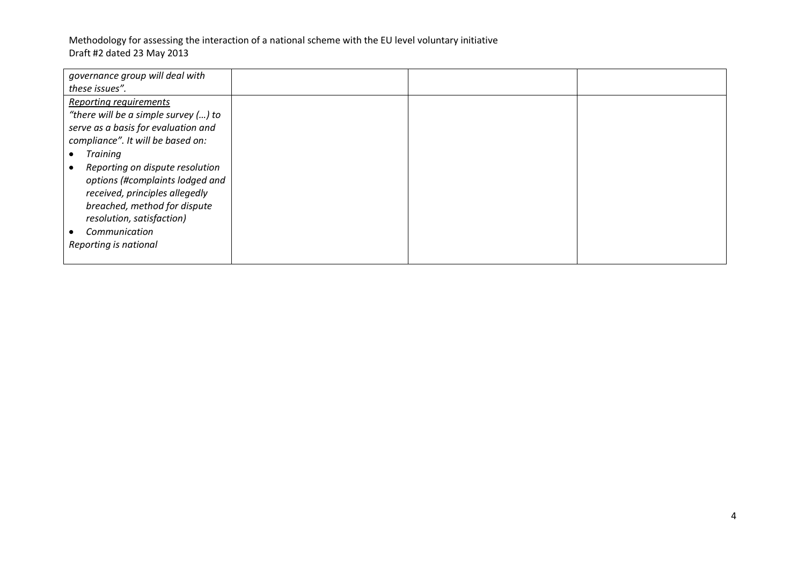Methodology for assessing the interaction of a national scheme with the EU level voluntary initiative Draft #2 dated 23 May 2013

| governance group will deal with                                    |  |  |
|--------------------------------------------------------------------|--|--|
| these issues".                                                     |  |  |
| <b>Reporting requirements</b>                                      |  |  |
| "there will be a simple survey () to                               |  |  |
| serve as a basis for evaluation and                                |  |  |
| compliance". It will be based on:                                  |  |  |
| <b>Training</b>                                                    |  |  |
| Reporting on dispute resolution<br>options (#complaints lodged and |  |  |
| received, principles allegedly                                     |  |  |
| breached, method for dispute                                       |  |  |
| resolution, satisfaction)                                          |  |  |
| Communication                                                      |  |  |
| Reporting is national                                              |  |  |
|                                                                    |  |  |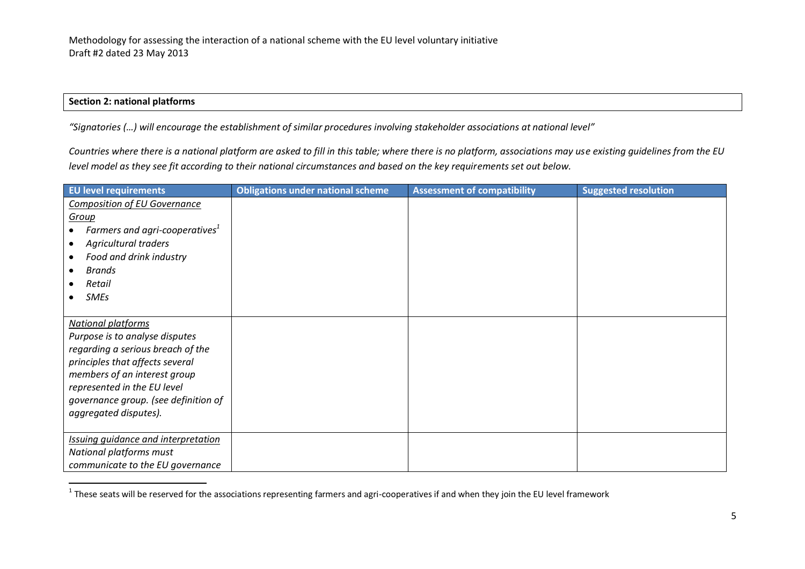#### **Section 2: national platforms**

*"Signatories (…) will encourage the establishment of similar procedures involving stakeholder associations at national level"*

*Countries where there is a national platform are asked to fill in this table; where there is no platform, associations may use existing guidelines from the EU level model as they see fit according to their national circumstances and based on the key requirements set out below.* 

| <b>EU level requirements</b>                                                                                                                                                                                                                                        | <b>Obligations under national scheme</b> | <b>Assessment of compatibility</b> | <b>Suggested resolution</b> |
|---------------------------------------------------------------------------------------------------------------------------------------------------------------------------------------------------------------------------------------------------------------------|------------------------------------------|------------------------------------|-----------------------------|
| <b>Composition of EU Governance</b><br>Group<br>Farmers and agri-cooperatives <sup>1</sup><br><b>Agricultural traders</b><br>Food and drink industry<br><b>Brands</b><br>Retail<br><b>SMEs</b>                                                                      |                                          |                                    |                             |
| <b>National platforms</b><br>Purpose is to analyse disputes<br>regarding a serious breach of the<br>principles that affects several<br>members of an interest group<br>represented in the EU level<br>governance group. (see definition of<br>aggregated disputes). |                                          |                                    |                             |
| <b>Issuing guidance and interpretation</b><br>National platforms must<br>communicate to the EU governance                                                                                                                                                           |                                          |                                    |                             |

 1 These seats will be reserved for the associations representing farmers and agri-cooperatives if and when they join the EU level framework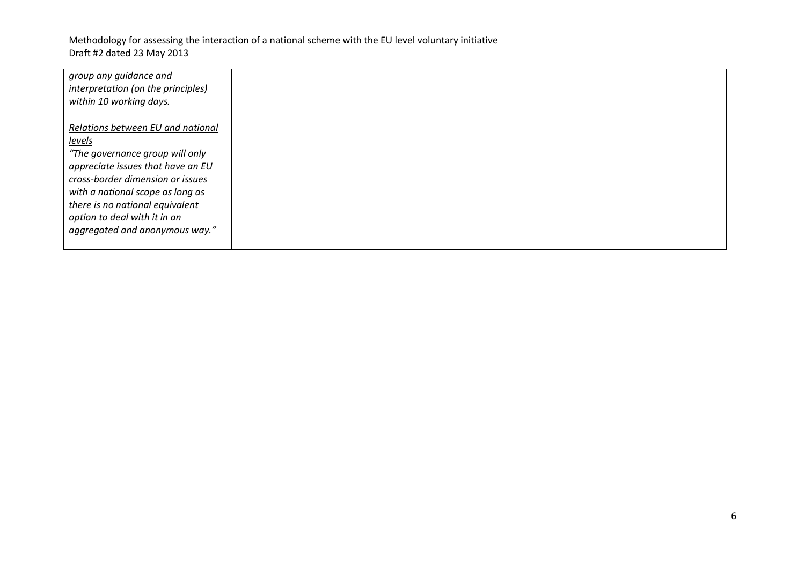# Methodology for assessing the interaction of a national scheme with the EU level voluntary initiative Draft #2 dated 23 May 2013

| group any guidance and<br>interpretation (on the principles)<br>within 10 working days. |  |  |
|-----------------------------------------------------------------------------------------|--|--|
| Relations between EU and national                                                       |  |  |
| <u>levels</u>                                                                           |  |  |
| "The governance group will only                                                         |  |  |
| appreciate issues that have an EU                                                       |  |  |
| cross-border dimension or issues                                                        |  |  |
| with a national scope as long as                                                        |  |  |
| there is no national equivalent                                                         |  |  |
| option to deal with it in an                                                            |  |  |
| aggregated and anonymous way."                                                          |  |  |
|                                                                                         |  |  |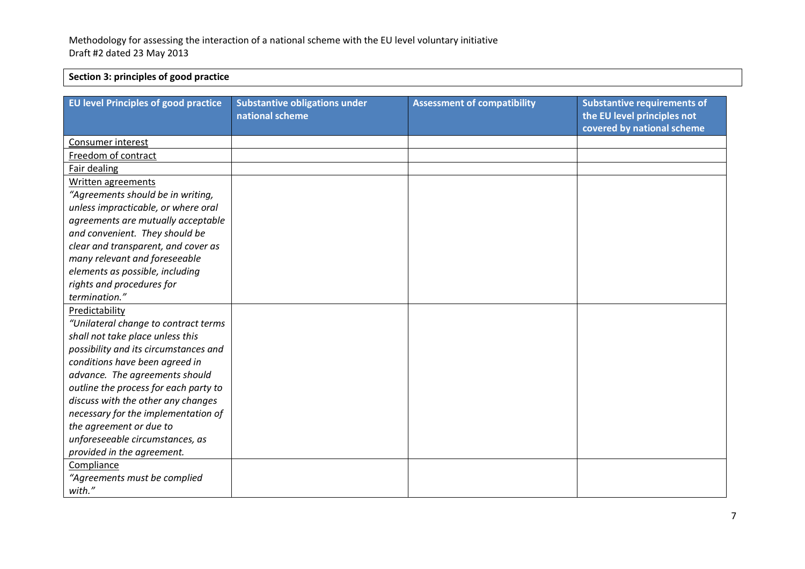## **Section 3: principles of good practice**

| <b>EU level Principles of good practice</b> | <b>Substantive obligations under</b><br>national scheme | <b>Assessment of compatibility</b> | <b>Substantive requirements of</b><br>the EU level principles not<br>covered by national scheme |
|---------------------------------------------|---------------------------------------------------------|------------------------------------|-------------------------------------------------------------------------------------------------|
| Consumer interest                           |                                                         |                                    |                                                                                                 |
| Freedom of contract                         |                                                         |                                    |                                                                                                 |
| Fair dealing                                |                                                         |                                    |                                                                                                 |
| Written agreements                          |                                                         |                                    |                                                                                                 |
| "Agreements should be in writing,           |                                                         |                                    |                                                                                                 |
| unless impracticable, or where oral         |                                                         |                                    |                                                                                                 |
| agreements are mutually acceptable          |                                                         |                                    |                                                                                                 |
| and convenient. They should be              |                                                         |                                    |                                                                                                 |
| clear and transparent, and cover as         |                                                         |                                    |                                                                                                 |
| many relevant and foreseeable               |                                                         |                                    |                                                                                                 |
| elements as possible, including             |                                                         |                                    |                                                                                                 |
| rights and procedures for                   |                                                         |                                    |                                                                                                 |
| termination."                               |                                                         |                                    |                                                                                                 |
| Predictability                              |                                                         |                                    |                                                                                                 |
| "Unilateral change to contract terms        |                                                         |                                    |                                                                                                 |
| shall not take place unless this            |                                                         |                                    |                                                                                                 |
| possibility and its circumstances and       |                                                         |                                    |                                                                                                 |
| conditions have been agreed in              |                                                         |                                    |                                                                                                 |
| advance. The agreements should              |                                                         |                                    |                                                                                                 |
| outline the process for each party to       |                                                         |                                    |                                                                                                 |
| discuss with the other any changes          |                                                         |                                    |                                                                                                 |
| necessary for the implementation of         |                                                         |                                    |                                                                                                 |
| the agreement or due to                     |                                                         |                                    |                                                                                                 |
| unforeseeable circumstances, as             |                                                         |                                    |                                                                                                 |
| provided in the agreement.                  |                                                         |                                    |                                                                                                 |
| Compliance                                  |                                                         |                                    |                                                                                                 |
| "Agreements must be complied                |                                                         |                                    |                                                                                                 |
| with."                                      |                                                         |                                    |                                                                                                 |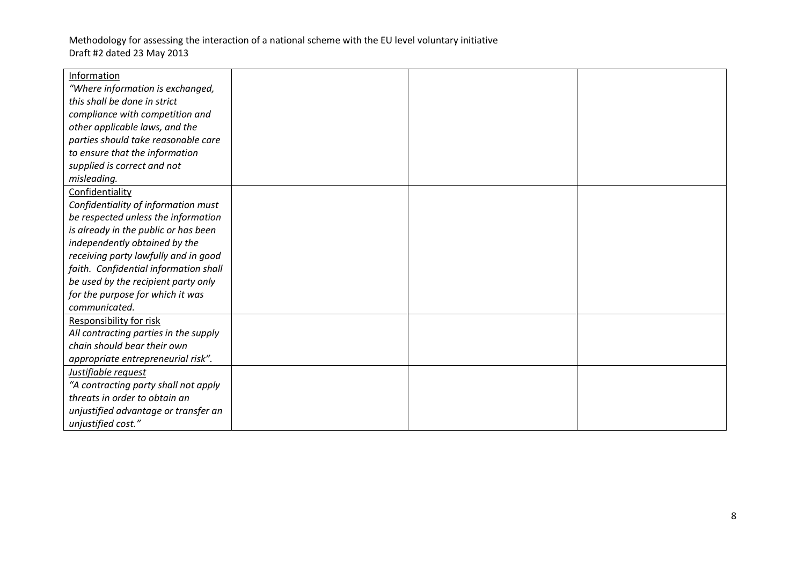| Information                           |  |  |
|---------------------------------------|--|--|
| "Where information is exchanged,      |  |  |
| this shall be done in strict          |  |  |
| compliance with competition and       |  |  |
| other applicable laws, and the        |  |  |
| parties should take reasonable care   |  |  |
| to ensure that the information        |  |  |
| supplied is correct and not           |  |  |
| misleading.                           |  |  |
| Confidentiality                       |  |  |
| Confidentiality of information must   |  |  |
| be respected unless the information   |  |  |
| is already in the public or has been  |  |  |
| independently obtained by the         |  |  |
| receiving party lawfully and in good  |  |  |
| faith. Confidential information shall |  |  |
| be used by the recipient party only   |  |  |
| for the purpose for which it was      |  |  |
| communicated.                         |  |  |
| <b>Responsibility for risk</b>        |  |  |
| All contracting parties in the supply |  |  |
| chain should bear their own           |  |  |
| appropriate entrepreneurial risk".    |  |  |
| Justifiable request                   |  |  |
| "A contracting party shall not apply  |  |  |
| threats in order to obtain an         |  |  |
| unjustified advantage or transfer an  |  |  |
| unjustified cost."                    |  |  |